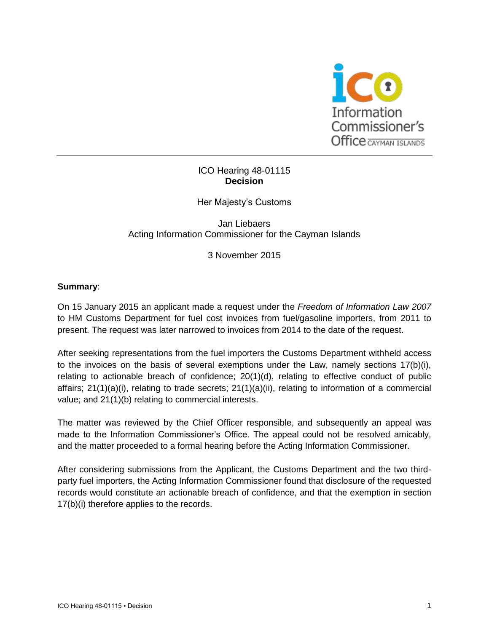

#### ICO Hearing 48-01115 **Decision**

Her Majesty's Customs

Jan Liebaers Acting Information Commissioner for the Cayman Islands

3 November 2015

## **Summary**:

On 15 January 2015 an applicant made a request under the *Freedom of Information Law 2007* to HM Customs Department for fuel cost invoices from fuel/gasoline importers, from 2011 to present. The request was later narrowed to invoices from 2014 to the date of the request.

After seeking representations from the fuel importers the Customs Department withheld access to the invoices on the basis of several exemptions under the Law, namely sections 17(b)(i), relating to actionable breach of confidence; 20(1)(d), relating to effective conduct of public affairs; 21(1)(a)(i), relating to trade secrets; 21(1)(a)(ii), relating to information of a commercial value; and 21(1)(b) relating to commercial interests.

The matter was reviewed by the Chief Officer responsible, and subsequently an appeal was made to the Information Commissioner's Office. The appeal could not be resolved amicably, and the matter proceeded to a formal hearing before the Acting Information Commissioner.

After considering submissions from the Applicant, the Customs Department and the two thirdparty fuel importers, the Acting Information Commissioner found that disclosure of the requested records would constitute an actionable breach of confidence, and that the exemption in section 17(b)(i) therefore applies to the records.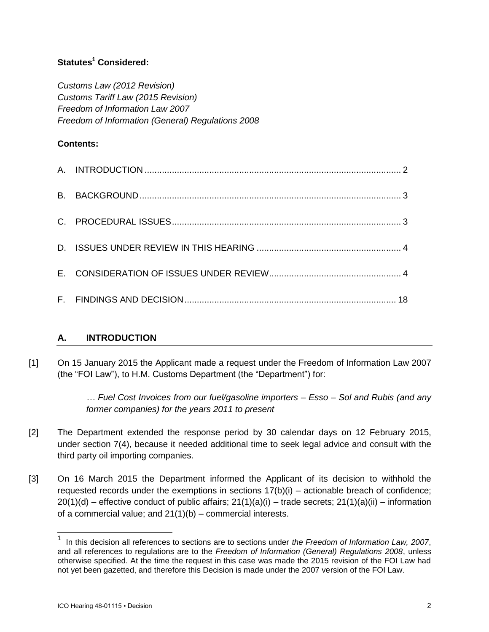## **Statutes<sup>1</sup> Considered:**

*Customs Law (2012 Revision) Customs Tariff Law (2015 Revision) Freedom of Information Law 2007 Freedom of Information (General) Regulations 2008*

## **Contents:**

# **A. INTRODUCTION**

[1] On 15 January 2015 the Applicant made a request under the Freedom of Information Law 2007 (the "FOI Law"), to H.M. Customs Department (the "Department") for:

> *… Fuel Cost Invoices from our fuel/gasoline importers – Esso – Sol and Rubis (and any former companies) for the years 2011 to present*

- [2] The Department extended the response period by 30 calendar days on 12 February 2015, under section 7(4), because it needed additional time to seek legal advice and consult with the third party oil importing companies.
- [3] On 16 March 2015 the Department informed the Applicant of its decision to withhold the requested records under the exemptions in sections  $17(b)(i)$  – actionable breach of confidence;  $20(1)(d)$  – effective conduct of public affairs;  $21(1)(a)(i)$  – trade secrets;  $21(1)(a)(ii)$  – information of a commercial value; and 21(1)(b) – commercial interests.

<sup>1</sup> In this decision all references to sections are to sections under *the Freedom of Information Law, 2007*, and all references to regulations are to the *Freedom of Information (General) Regulations 2008*, unless otherwise specified. At the time the request in this case was made the 2015 revision of the FOI Law had not yet been gazetted, and therefore this Decision is made under the 2007 version of the FOI Law.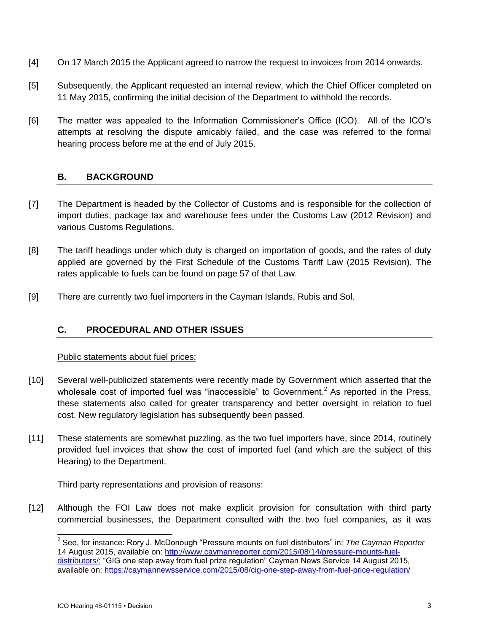- [4] On 17 March 2015 the Applicant agreed to narrow the request to invoices from 2014 onwards.
- [5] Subsequently, the Applicant requested an internal review, which the Chief Officer completed on 11 May 2015, confirming the initial decision of the Department to withhold the records.
- [6] The matter was appealed to the Information Commissioner's Office (ICO). All of the ICO's attempts at resolving the dispute amicably failed, and the case was referred to the formal hearing process before me at the end of July 2015.

## **B. BACKGROUND**

- [7] The Department is headed by the Collector of Customs and is responsible for the collection of import duties, package tax and warehouse fees under the Customs Law (2012 Revision) and various Customs Regulations.
- [8] The tariff headings under which duty is charged on importation of goods, and the rates of duty applied are governed by the First Schedule of the Customs Tariff Law (2015 Revision). The rates applicable to fuels can be found on page 57 of that Law.
- [9] There are currently two fuel importers in the Cayman Islands, Rubis and Sol.

# **C. PROCEDURAL AND OTHER ISSUES**

## Public statements about fuel prices:

- [10] Several well-publicized statements were recently made by Government which asserted that the wholesale cost of imported fuel was "inaccessible" to Government.<sup>2</sup> As reported in the Press, these statements also called for greater transparency and better oversight in relation to fuel cost. New regulatory legislation has subsequently been passed.
- [11] These statements are somewhat puzzling, as the two fuel importers have, since 2014, routinely provided fuel invoices that show the cost of imported fuel (and which are the subject of this Hearing) to the Department.

## Third party representations and provision of reasons:

[12] Although the FOI Law does not make explicit provision for consultation with third party commercial businesses, the Department consulted with the two fuel companies, as it was

l 2 See, for instance: Rory J. McDonough "Pressure mounts on fuel distributors" in: *The Cayman Reporter* 14 August 2015, available on: [http://www.caymanreporter.com/2015/08/14/pressure-mounts-fuel](http://www.caymanreporter.com/2015/08/14/pressure-mounts-fuel-distributors/)[distributors/;](http://www.caymanreporter.com/2015/08/14/pressure-mounts-fuel-distributors/) "GIG one step away from fuel prize regulation" Cayman News Service 14 August 2015, available on:<https://caymannewsservice.com/2015/08/cig-one-step-away-from-fuel-price-regulation/>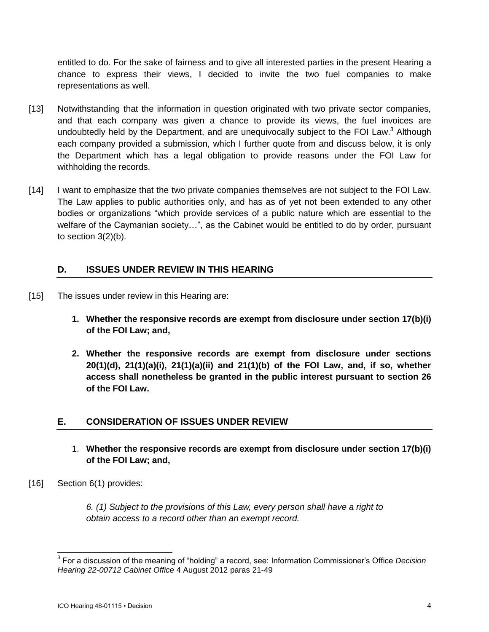entitled to do. For the sake of fairness and to give all interested parties in the present Hearing a chance to express their views, I decided to invite the two fuel companies to make representations as well.

- [13] Notwithstanding that the information in question originated with two private sector companies, and that each company was given a chance to provide its views, the fuel invoices are undoubtedly held by the Department, and are unequivocally subject to the FOI Law. $3$  Although each company provided a submission, which I further quote from and discuss below, it is only the Department which has a legal obligation to provide reasons under the FOI Law for withholding the records.
- [14] I want to emphasize that the two private companies themselves are not subject to the FOI Law. The Law applies to public authorities only, and has as of yet not been extended to any other bodies or organizations "which provide services of a public nature which are essential to the welfare of the Caymanian society…", as the Cabinet would be entitled to do by order, pursuant to section 3(2)(b).

## **D. ISSUES UNDER REVIEW IN THIS HEARING**

- [15] The issues under review in this Hearing are:
	- **1. Whether the responsive records are exempt from disclosure under section 17(b)(i) of the FOI Law; and,**
	- **2. Whether the responsive records are exempt from disclosure under sections 20(1)(d), 21(1)(a)(i), 21(1)(a)(ii) and 21(1)(b) of the FOI Law, and, if so, whether access shall nonetheless be granted in the public interest pursuant to section 26 of the FOI Law.**

# **E. CONSIDERATION OF ISSUES UNDER REVIEW**

- 1. **Whether the responsive records are exempt from disclosure under section 17(b)(i) of the FOI Law; and,**
- [16] Section 6(1) provides:

*6. (1) Subject to the provisions of this Law, every person shall have a right to obtain access to a record other than an exempt record.*

 $\overline{\phantom{a}}$ 3 For a discussion of the meaning of "holding" a record, see: Information Commissioner's Office *Decision Hearing 22-00712 Cabinet Office* 4 August 2012 paras 21-49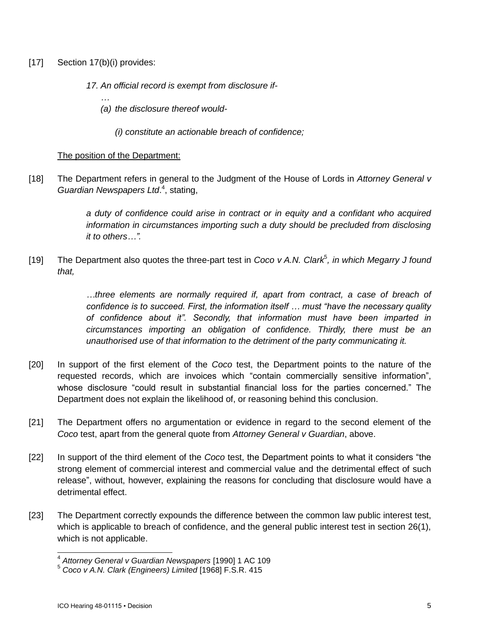- [17] Section 17(b)(i) provides:
	- *17. An official record is exempt from disclosure if-*
		- *… (a) the disclosure thereof would-*
			- *(i) constitute an actionable breach of confidence;*

## The position of the Department:

[18] The Department refers in general to the Judgment of the House of Lords in *Attorney General v*  Guardian Newspapers Ltd.<sup>4</sup>, stating,

> *a duty of confidence could arise in contract or in equity and a confidant who acquired information in circumstances importing such a duty should be precluded from disclosing it to others…".*

[19] The Department also quotes the three-part test in *Coco v A.N. Clark<sup>5</sup>, in which Megarry J found that,*

> *…three elements are normally required if, apart from contract, a case of breach of confidence is to succeed. First, the information itself … must "have the necessary quality of confidence about it". Secondly, that information must have been imparted in circumstances importing an obligation of confidence. Thirdly, there must be an unauthorised use of that information to the detriment of the party communicating it.*

- [20] In support of the first element of the *Coco* test, the Department points to the nature of the requested records, which are invoices which "contain commercially sensitive information", whose disclosure "could result in substantial financial loss for the parties concerned." The Department does not explain the likelihood of, or reasoning behind this conclusion.
- [21] The Department offers no argumentation or evidence in regard to the second element of the *Coco* test, apart from the general quote from *Attorney General v Guardian*, above.
- [22] In support of the third element of the *Coco* test, the Department points to what it considers "the strong element of commercial interest and commercial value and the detrimental effect of such release", without, however, explaining the reasons for concluding that disclosure would have a detrimental effect.
- [23] The Department correctly expounds the difference between the common law public interest test, which is applicable to breach of confidence, and the general public interest test in section 26(1), which is not applicable.

 4 *Attorney General v Guardian Newspapers* [1990] 1 AC 109

<sup>5</sup> *Coco v A.N. Clark (Engineers) Limited* [1968] F.S.R. 415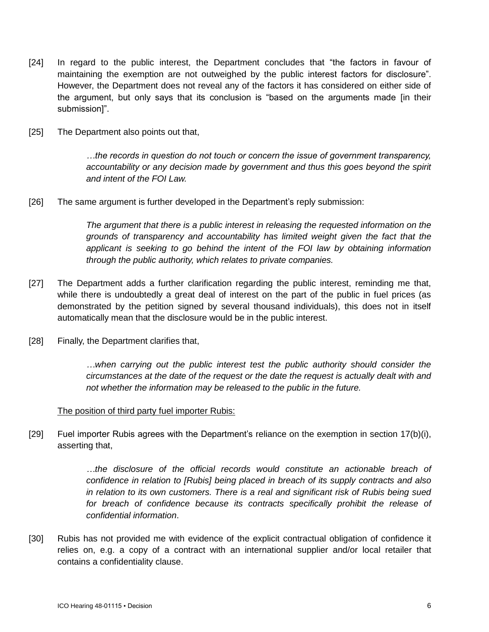- [24] In regard to the public interest, the Department concludes that "the factors in favour of maintaining the exemption are not outweighed by the public interest factors for disclosure". However, the Department does not reveal any of the factors it has considered on either side of the argument, but only says that its conclusion is "based on the arguments made [in their submission]".
- [25] The Department also points out that,

*…the records in question do not touch or concern the issue of government transparency, accountability or any decision made by government and thus this goes beyond the spirit and intent of the FOI Law.*

[26] The same argument is further developed in the Department's reply submission:

*The argument that there is a public interest in releasing the requested information on the grounds of transparency and accountability has limited weight given the fact that the applicant is seeking to go behind the intent of the FOI law by obtaining information through the public authority, which relates to private companies.* 

- [27] The Department adds a further clarification regarding the public interest, reminding me that, while there is undoubtedly a great deal of interest on the part of the public in fuel prices (as demonstrated by the petition signed by several thousand individuals), this does not in itself automatically mean that the disclosure would be in the public interest.
- [28] Finally, the Department clarifies that,

*…when carrying out the public interest test the public authority should consider the circumstances at the date of the request or the date the request is actually dealt with and not whether the information may be released to the public in the future.*

#### The position of third party fuel importer Rubis:

[29] Fuel importer Rubis agrees with the Department's reliance on the exemption in section 17(b)(i), asserting that,

> *…the disclosure of the official records would constitute an actionable breach of confidence in relation to [Rubis] being placed in breach of its supply contracts and also in relation to its own customers. There is a real and significant risk of Rubis being sued*  for breach of confidence because its contracts specifically prohibit the release of *confidential information*.

[30] Rubis has not provided me with evidence of the explicit contractual obligation of confidence it relies on, e.g. a copy of a contract with an international supplier and/or local retailer that contains a confidentiality clause.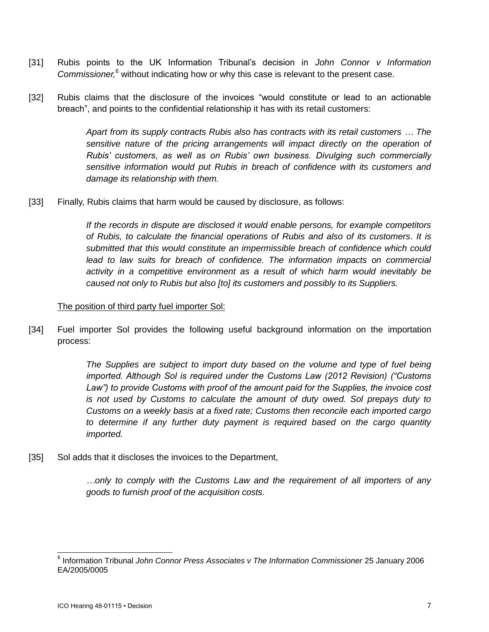- [31] Rubis points to the UK Information Tribunal's decision in *John Connor v Information Commissioner,* <sup>6</sup> without indicating how or why this case is relevant to the present case.
- [32] Rubis claims that the disclosure of the invoices "would constitute or lead to an actionable breach", and points to the confidential relationship it has with its retail customers:

*Apart from its supply contracts Rubis also has contracts with its retail customers … The*  sensitive nature of the pricing arrangements will impact directly on the operation of *Rubis' customers*, *as well as on Rubis' own business. Divulging such commercially sensitive information would put Rubis in breach of confidence with its customers and damage its relationship with them.*

[33] Finally, Rubis claims that harm would be caused by disclosure, as follows:

*If the records in dispute are disclosed it would enable persons, for example competitors of Rubis, to calculate the financial operations of Rubis and also of its customers*. *It is submitted that this would constitute an impermissible breach of confidence which could*  lead to law suits for breach of confidence. The information impacts on commercial *activity in a competitive environment as a result of which harm would inevitably be caused not only to Rubis but also [to] its customers and possibly to its Suppliers.*

The position of third party fuel importer Sol:

[34] Fuel importer Sol provides the following useful background information on the importation process:

> *The Supplies are subject to import duty based on the volume and type of fuel being imported. Although Sol is required under the Customs Law (2012 Revision) ("Customs Law") to provide Customs with proof of the amount paid for the Supplies, the invoice cost is not used by Customs to calculate the amount of duty owed. Sol prepays duty to Customs on a weekly basis at a fixed rate; Customs then reconcile each imported cargo to determine if any further duty payment is required based on the cargo quantity imported.*

[35] Sol adds that it discloses the invoices to the Department,

*…only to comply with the Customs Law and the requirement of all importers of any goods to furnish proof of the acquisition costs.*

 6 Information Tribunal *John Connor Press Associates v The Information Commissioner* 25 January 2006 EA/2005/0005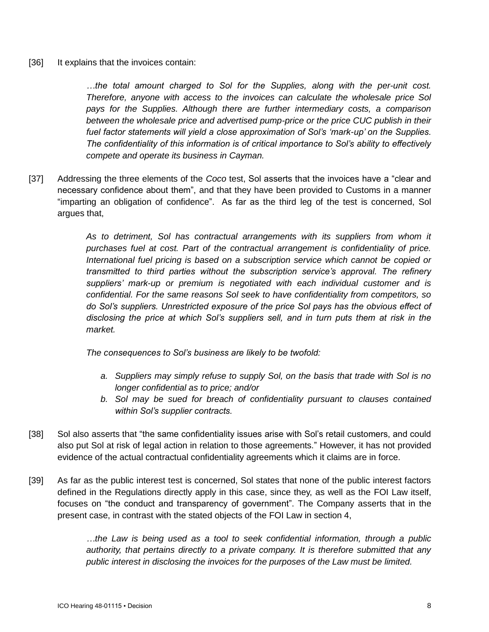[36] It explains that the invoices contain:

*…the total amount charged to Sol for the Supplies, along with the per-unit cost. Therefore, anyone with access to the invoices can calculate the wholesale price Sol pays for the Supplies. Although there are further intermediary costs, a comparison between the wholesale price and advertised pump-price or the price CUC publish in their fuel factor statements will yield a close approximation of Sol's 'mark-up' on the Supplies. The confidentiality of this information is of critical importance to Sol's ability to effectively compete and operate its business in Cayman.*

[37] Addressing the three elements of the *Coco* test, Sol asserts that the invoices have a "clear and necessary confidence about them", and that they have been provided to Customs in a manner "imparting an obligation of confidence". As far as the third leg of the test is concerned, Sol argues that,

> *As to detriment, Sol has contractual arrangements with its suppliers from whom it purchases fuel at cost. Part of the contractual arrangement is confidentiality of price. International fuel pricing is based on a subscription service which cannot be copied or transmitted to third parties without the subscription service's approval. The refinery suppliers' mark-up or premium is negotiated with each individual customer and is confidential. For the same reasons Sol seek to have confidentiality from competitors, so do Sol's suppliers. Unrestricted exposure of the price Sol pays has the obvious effect of disclosing the price at which Sol's suppliers sell, and in turn puts them at risk in the market.*

*The consequences to Sol's business are likely to be twofold:*

- *a. Suppliers may simply refuse to supply Sol, on the basis that trade with Sol is no longer confidential as to price; and/or*
- *b. Sol may be sued for breach of confidentiality pursuant to clauses contained within Sol's supplier contracts.*
- [38] Sol also asserts that "the same confidentiality issues arise with Sol's retail customers, and could also put Sol at risk of legal action in relation to those agreements." However, it has not provided evidence of the actual contractual confidentiality agreements which it claims are in force.
- [39] As far as the public interest test is concerned, Sol states that none of the public interest factors defined in the Regulations directly apply in this case, since they, as well as the FOI Law itself, focuses on "the conduct and transparency of government". The Company asserts that in the present case, in contrast with the stated objects of the FOI Law in section 4,

*…the Law is being used as a tool to seek confidential information, through a public authority, that pertains directly to a private company. It is therefore submitted that any public interest in disclosing the invoices for the purposes of the Law must be limited.*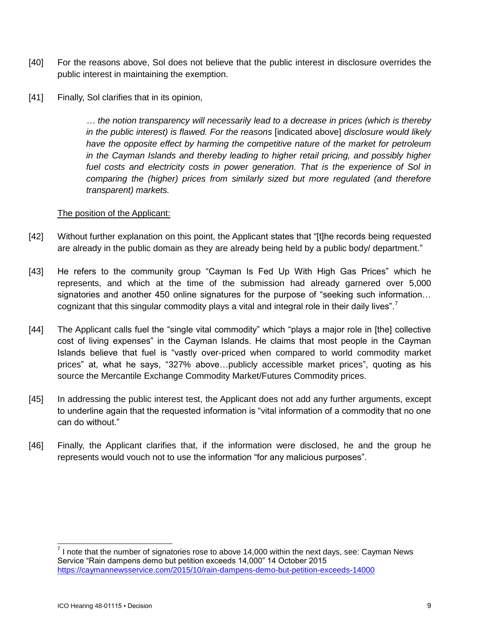- [40] For the reasons above, Sol does not believe that the public interest in disclosure overrides the public interest in maintaining the exemption.
- [41] Finally, Sol clarifies that in its opinion,

*… the notion transparency will necessarily lead to a decrease in prices (which is thereby in the public interest) is flawed. For the reasons* [indicated above] *disclosure would likely have the opposite effect by harming the competitive nature of the market for petroleum in the Cayman Islands and thereby leading to higher retail pricing, and possibly higher*  fuel costs and electricity costs in power generation. That is the experience of Sol in *comparing the (higher) prices from similarly sized but more regulated (and therefore transparent) markets.*

## The position of the Applicant:

- [42] Without further explanation on this point, the Applicant states that "[t]he records being requested are already in the public domain as they are already being held by a public body/ department."
- [43] He refers to the community group "Cayman Is Fed Up With High Gas Prices" which he represents, and which at the time of the submission had already garnered over 5,000 signatories and another 450 online signatures for the purpose of "seeking such information... cognizant that this singular commodity plays a vital and integral role in their daily lives".<sup>7</sup>
- [44] The Applicant calls fuel the "single vital commodity" which "plays a major role in [the] collective cost of living expenses" in the Cayman Islands. He claims that most people in the Cayman Islands believe that fuel is "vastly over-priced when compared to world commodity market prices" at, what he says, "327% above…publicly accessible market prices", quoting as his source the Mercantile Exchange Commodity Market/Futures Commodity prices.
- [45] In addressing the public interest test, the Applicant does not add any further arguments, except to underline again that the requested information is "vital information of a commodity that no one can do without."
- [46] Finally, the Applicant clarifies that, if the information were disclosed, he and the group he represents would vouch not to use the information "for any malicious purposes".

 $<sup>7</sup>$  I note that the number of signatories rose to above 14,000 within the next days, see: Cayman News</sup> Service "Rain dampens demo but petition exceeds 14,000" 14 October 2015 <https://caymannewsservice.com/2015/10/rain-dampens-demo-but-petition-exceeds-14000>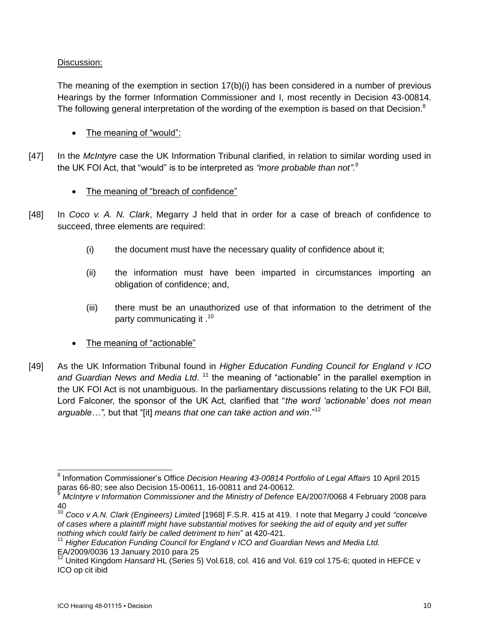## Discussion:

The meaning of the exemption in section 17(b)(i) has been considered in a number of previous Hearings by the former Information Commissioner and I, most recently in Decision 43-00814. The following general interpretation of the wording of the exemption is based on that Decision.<sup>8</sup>

- The meaning of "would":
- [47] In the *McIntyre* case the UK Information Tribunal clarified, in relation to similar wording used in the UK FOI Act, that "would" is to be interpreted as *"more probable than not".<sup>9</sup>*
	- The meaning of "breach of confidence"
- [48] In *Coco v. A. N. Clark*, Megarry J held that in order for a case of breach of confidence to succeed, three elements are required:
	- (i) the document must have the necessary quality of confidence about it;
	- (ii) the information must have been imparted in circumstances importing an obligation of confidence; and,
	- (iii) there must be an unauthorized use of that information to the detriment of the party communicating it .<sup>10</sup>
	- The meaning of "actionable"
- [49] As the UK Information Tribunal found in *Higher Education Funding Council for England v ICO*  and Guardian News and Media Ltd. <sup>11</sup> the meaning of "actionable" in the parallel exemption in the UK FOI Act is not unambiguous. In the parliamentary discussions relating to the UK FOI Bill, Lord Falconer, the sponsor of the UK Act, clarified that "*the word 'actionable' does not mean arguable…",* but that "[it] *means that one can take action and win*."<sup>12</sup>

l 8 Information Commissioner's Office *Decision Hearing 43-00814 Portfolio of Legal Affairs* 10 April 2015 paras 66-80; see also Decision 15-00611, 16-00811 and 24-00612.

<sup>9</sup> *McIntyre v Information Commissioner and the Ministry of Defence* EA/2007/0068 4 February 2008 para 40

<sup>10</sup> *Coco v A.N. Clark (Engineers) Limited* [1968] F.S.R. 415 at 419. I note that Megarry J could *"conceive of cases where a plaintiff might have substantial motives for seeking the aid of equity and yet suffer nothing which could fairly be called detriment to him*" at 420-421.

<sup>&</sup>lt;sup>11</sup> Higher Education Funding Council for England v ICO and Guardian News and Media Ltd. EA/2009/0036 13 January 2010 para 25

<sup>&</sup>lt;sup>12</sup> United Kingdom *Hansard* HL (Series 5) Vol.618, col. 416 and Vol. 619 col 175-6; quoted in HEFCE v ICO op cit ibid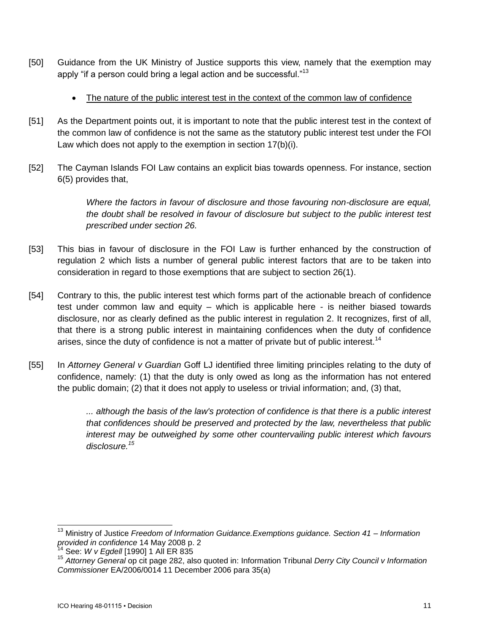- [50] Guidance from the UK Ministry of Justice supports this view, namely that the exemption may apply "if a person could bring a legal action and be successful."<sup>13</sup>
	- The nature of the public interest test in the context of the common law of confidence
- [51] As the Department points out, it is important to note that the public interest test in the context of the common law of confidence is not the same as the statutory public interest test under the FOI Law which does not apply to the exemption in section 17(b)(i).
- [52] The Cayman Islands FOI Law contains an explicit bias towards openness. For instance, section 6(5) provides that,

*Where the factors in favour of disclosure and those favouring non-disclosure are equal, the doubt shall be resolved in favour of disclosure but subject to the public interest test prescribed under section 26.*

- [53] This bias in favour of disclosure in the FOI Law is further enhanced by the construction of regulation 2 which lists a number of general public interest factors that are to be taken into consideration in regard to those exemptions that are subject to section 26(1).
- [54] Contrary to this, the public interest test which forms part of the actionable breach of confidence test under common law and equity – which is applicable here - is neither biased towards disclosure, nor as clearly defined as the public interest in regulation 2. It recognizes, first of all, that there is a strong public interest in maintaining confidences when the duty of confidence arises, since the duty of confidence is not a matter of private but of public interest.<sup>14</sup>
- [55] In *Attorney General v Guardian* Goff LJ identified three limiting principles relating to the duty of confidence, namely: (1) that the duty is only owed as long as the information has not entered the public domain; (2) that it does not apply to useless or trivial information; and, (3) that,

*... although the basis of the law's protection of confidence is that there is a public interest that confidences should be preserved and protected by the law, nevertheless that public interest may be outweighed by some other countervailing public interest which favours disclosure.<sup>15</sup>*

<sup>13</sup> Ministry of Justice *Freedom of Information Guidance.Exemptions guidance. Section 41 – Information provided in confidence* 14 May 2008 p. 2

<sup>14</sup> See: *W v Egdell* [1990] 1 All ER 835

<sup>15</sup> *Attorney General* op cit page 282, also quoted in: Information Tribunal *Derry City Council v Information Commissioner* EA/2006/0014 11 December 2006 para 35(a)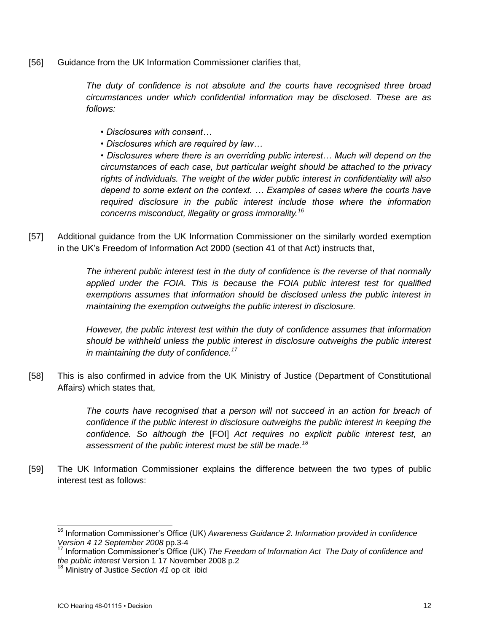[56] Guidance from the UK Information Commissioner clarifies that,

*The duty of confidence is not absolute and the courts have recognised three broad circumstances under which confidential information may be disclosed. These are as follows:*

- *Disclosures with consent…*
- *Disclosures which are required by law…*

*• Disclosures where there is an overriding public interest… Much will depend on the circumstances of each case, but particular weight should be attached to the privacy rights of individuals. The weight of the wider public interest in confidentiality will also depend to some extent on the context. … Examples of cases where the courts have required disclosure in the public interest include those where the information concerns misconduct, illegality or gross immorality.<sup>16</sup>*

[57] Additional guidance from the UK Information Commissioner on the similarly worded exemption in the UK's Freedom of Information Act 2000 (section 41 of that Act) instructs that,

> *The inherent public interest test in the duty of confidence is the reverse of that normally applied under the FOIA. This is because the FOIA public interest test for qualified exemptions assumes that information should be disclosed unless the public interest in maintaining the exemption outweighs the public interest in disclosure.*

> *However, the public interest test within the duty of confidence assumes that information should be withheld unless the public interest in disclosure outweighs the public interest in maintaining the duty of confidence.<sup>17</sup>*

[58] This is also confirmed in advice from the UK Ministry of Justice (Department of Constitutional Affairs) which states that,

> The courts have recognised that a person will not succeed in an action for breach of *confidence if the public interest in disclosure outweighs the public interest in keeping the confidence. So although the* [FOI] *Act requires no explicit public interest test, an assessment of the public interest must be still be made.<sup>18</sup>*

[59] The UK Information Commissioner explains the difference between the two types of public interest test as follows:

<sup>16</sup> Information Commissioner's Office (UK) *Awareness Guidance 2. Information provided in confidence Version 4 12 September 2008* pp.3-4

<sup>&</sup>lt;sup>17</sup> Information Commissioner's Office (UK) The Freedom of Information Act The Duty of confidence and *the public interest* Version 1 17 November 2008 p.2

<sup>18</sup> Ministry of Justice *Section 41* op cit ibid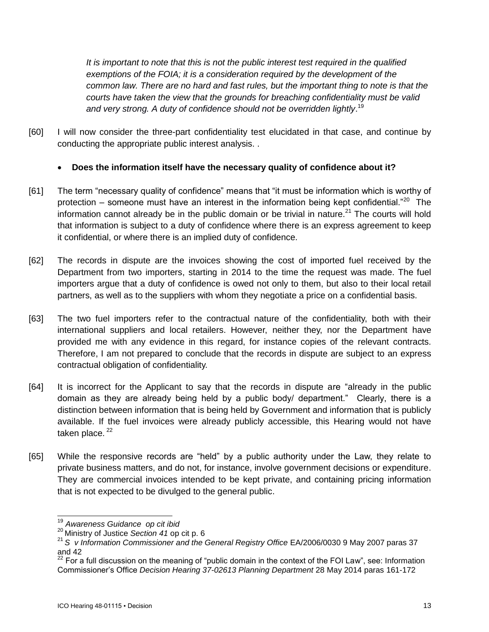*It is important to note that this is not the public interest test required in the qualified exemptions of the FOIA; it is a consideration required by the development of the common law. There are no hard and fast rules, but the important thing to note is that the courts have taken the view that the grounds for breaching confidentiality must be valid and very strong. A duty of confidence should not be overridden lightly*. 19

[60] I will now consider the three-part confidentiality test elucidated in that case, and continue by conducting the appropriate public interest analysis. .

## **Does the information itself have the necessary quality of confidence about it?**

- [61] The term "necessary quality of confidence" means that "it must be information which is worthy of protection – someone must have an interest in the information being kept confidential."<sup>20</sup> The information cannot already be in the public domain or be trivial in nature.<sup>21</sup> The courts will hold that information is subject to a duty of confidence where there is an express agreement to keep it confidential, or where there is an implied duty of confidence.
- [62] The records in dispute are the invoices showing the cost of imported fuel received by the Department from two importers, starting in 2014 to the time the request was made. The fuel importers argue that a duty of confidence is owed not only to them, but also to their local retail partners, as well as to the suppliers with whom they negotiate a price on a confidential basis.
- [63] The two fuel importers refer to the contractual nature of the confidentiality, both with their international suppliers and local retailers. However, neither they, nor the Department have provided me with any evidence in this regard, for instance copies of the relevant contracts. Therefore, I am not prepared to conclude that the records in dispute are subject to an express contractual obligation of confidentiality.
- [64] It is incorrect for the Applicant to say that the records in dispute are "already in the public domain as they are already being held by a public body/ department." Clearly, there is a distinction between information that is being held by Government and information that is publicly available. If the fuel invoices were already publicly accessible, this Hearing would not have taken place.  $22$
- [65] While the responsive records are "held" by a public authority under the Law, they relate to private business matters, and do not, for instance, involve government decisions or expenditure. They are commercial invoices intended to be kept private, and containing pricing information that is not expected to be divulged to the general public.

j

<sup>19</sup> *Awareness Guidance op cit ibid*

<sup>20</sup> Ministry of Justice *Section 41* op cit p. 6

<sup>21</sup> *S v Information Commissioner and the General Registry Office* EA/2006/0030 9 May 2007 paras 37 and 42

 $^{22}$  For a full discussion on the meaning of "public domain in the context of the FOI Law", see: Information Commissioner's Office *Decision Hearing 37-02613 Planning Department* 28 May 2014 paras 161-172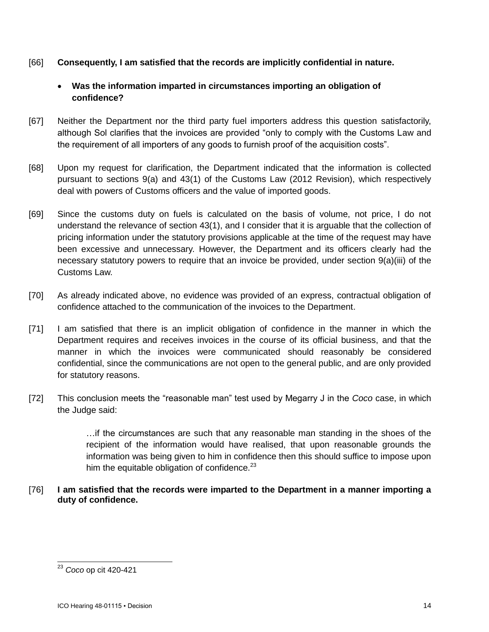## [66] **Consequently, I am satisfied that the records are implicitly confidential in nature.**

## **Was the information imparted in circumstances importing an obligation of confidence?**

- [67] Neither the Department nor the third party fuel importers address this question satisfactorily, although Sol clarifies that the invoices are provided "only to comply with the Customs Law and the requirement of all importers of any goods to furnish proof of the acquisition costs".
- [68] Upon my request for clarification, the Department indicated that the information is collected pursuant to sections 9(a) and 43(1) of the Customs Law (2012 Revision), which respectively deal with powers of Customs officers and the value of imported goods.
- [69] Since the customs duty on fuels is calculated on the basis of volume, not price, I do not understand the relevance of section 43(1), and I consider that it is arguable that the collection of pricing information under the statutory provisions applicable at the time of the request may have been excessive and unnecessary. However, the Department and its officers clearly had the necessary statutory powers to require that an invoice be provided, under section 9(a)(iii) of the Customs Law.
- [70] As already indicated above, no evidence was provided of an express, contractual obligation of confidence attached to the communication of the invoices to the Department.
- [71] I am satisfied that there is an implicit obligation of confidence in the manner in which the Department requires and receives invoices in the course of its official business, and that the manner in which the invoices were communicated should reasonably be considered confidential, since the communications are not open to the general public, and are only provided for statutory reasons.
- [72] This conclusion meets the "reasonable man" test used by Megarry J in the *Coco* case, in which the Judge said:

…if the circumstances are such that any reasonable man standing in the shoes of the recipient of the information would have realised, that upon reasonable grounds the information was being given to him in confidence then this should suffice to impose upon him the equitable obligation of confidence. $23$ 

[76] **I am satisfied that the records were imparted to the Department in a manner importing a duty of confidence.**

 $\overline{a}$ <sup>23</sup> *Coco* op cit 420-421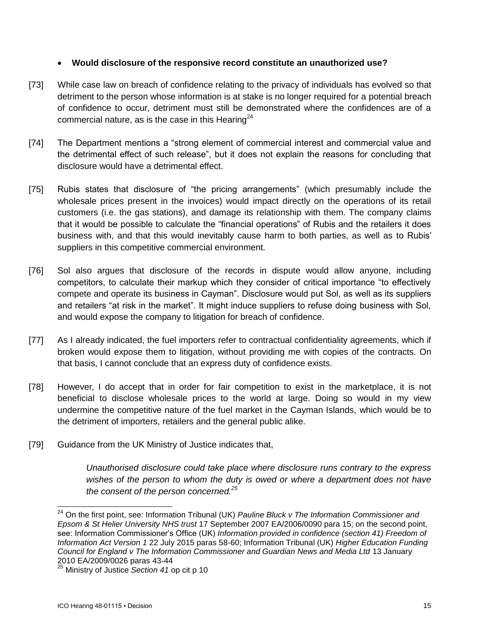### **Would disclosure of the responsive record constitute an unauthorized use?**

- [73] While case law on breach of confidence relating to the privacy of individuals has evolved so that detriment to the person whose information is at stake is no longer required for a potential breach of confidence to occur, detriment must still be demonstrated where the confidences are of a commercial nature, as is the case in this Hearing<sup>24</sup>
- [74] The Department mentions a "strong element of commercial interest and commercial value and the detrimental effect of such release", but it does not explain the reasons for concluding that disclosure would have a detrimental effect.
- [75] Rubis states that disclosure of "the pricing arrangements" (which presumably include the wholesale prices present in the invoices) would impact directly on the operations of its retail customers (i.e. the gas stations), and damage its relationship with them. The company claims that it would be possible to calculate the "financial operations" of Rubis and the retailers it does business with, and that this would inevitably cause harm to both parties, as well as to Rubis' suppliers in this competitive commercial environment.
- [76] Sol also argues that disclosure of the records in dispute would allow anyone, including competitors, to calculate their markup which they consider of critical importance "to effectively compete and operate its business in Cayman". Disclosure would put Sol, as well as its suppliers and retailers "at risk in the market". It might induce suppliers to refuse doing business with Sol, and would expose the company to litigation for breach of confidence.
- [77] As I already indicated, the fuel importers refer to contractual confidentiality agreements, which if broken would expose them to litigation, without providing me with copies of the contracts. On that basis, I cannot conclude that an express duty of confidence exists.
- [78] However, I do accept that in order for fair competition to exist in the marketplace, it is not beneficial to disclose wholesale prices to the world at large. Doing so would in my view undermine the competitive nature of the fuel market in the Cayman Islands, which would be to the detriment of importers, retailers and the general public alike.
- [79] Guidance from the UK Ministry of Justice indicates that,

*Unauthorised disclosure could take place where disclosure runs contrary to the express*  wishes of the person to whom the duty is owed or where a department does not have *the consent of the person concerned.<sup>25</sup>*

 $\overline{a}$ <sup>24</sup> On the first point, see: Information Tribunal (UK) *Pauline Bluck v The Information Commissioner and Epsom & St Helier University NHS trust* 17 September 2007 EA/2006/0090 para 15; on the second point, see: Information Commissioner's Office (UK) *Information provided in confidence (section 41) Freedom of Information Act Version 1* 22 July 2015 paras 58-60; Information Tribunal (UK) *Higher Education Funding Council for England v The Information Commissioner and Guardian News and Media Ltd* 13 January 2010 EA/2009/0026 paras 43-44

<sup>25</sup> Ministry of Justice *Section 41* op cit p 10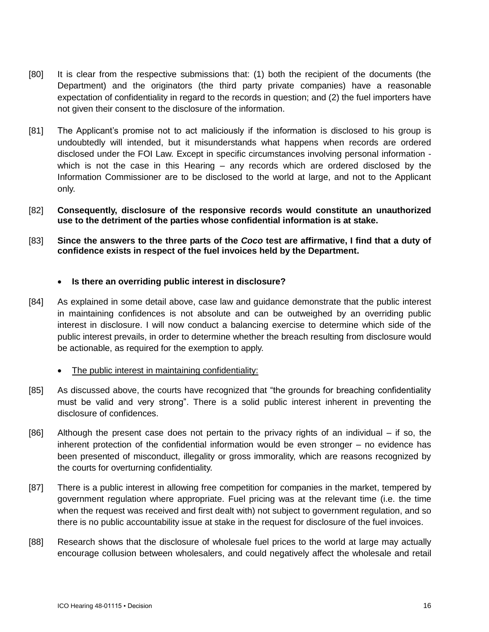- [80] It is clear from the respective submissions that: (1) both the recipient of the documents (the Department) and the originators (the third party private companies) have a reasonable expectation of confidentiality in regard to the records in question; and (2) the fuel importers have not given their consent to the disclosure of the information.
- [81] The Applicant's promise not to act maliciously if the information is disclosed to his group is undoubtedly will intended, but it misunderstands what happens when records are ordered disclosed under the FOI Law. Except in specific circumstances involving personal information which is not the case in this Hearing – any records which are ordered disclosed by the Information Commissioner are to be disclosed to the world at large, and not to the Applicant only.
- [82] **Consequently, disclosure of the responsive records would constitute an unauthorized use to the detriment of the parties whose confidential information is at stake.**
- [83] **Since the answers to the three parts of the** *Coco* **test are affirmative, I find that a duty of confidence exists in respect of the fuel invoices held by the Department.**

#### **Is there an overriding public interest in disclosure?**

- [84] As explained in some detail above, case law and guidance demonstrate that the public interest in maintaining confidences is not absolute and can be outweighed by an overriding public interest in disclosure. I will now conduct a balancing exercise to determine which side of the public interest prevails, in order to determine whether the breach resulting from disclosure would be actionable, as required for the exemption to apply.
	- The public interest in maintaining confidentiality:
- [85] As discussed above, the courts have recognized that "the grounds for breaching confidentiality must be valid and very strong". There is a solid public interest inherent in preventing the disclosure of confidences.
- [86] Although the present case does not pertain to the privacy rights of an individual if so, the inherent protection of the confidential information would be even stronger – no evidence has been presented of misconduct, illegality or gross immorality, which are reasons recognized by the courts for overturning confidentiality.
- [87] There is a public interest in allowing free competition for companies in the market, tempered by government regulation where appropriate. Fuel pricing was at the relevant time (i.e. the time when the request was received and first dealt with) not subject to government regulation, and so there is no public accountability issue at stake in the request for disclosure of the fuel invoices.
- [88] Research shows that the disclosure of wholesale fuel prices to the world at large may actually encourage collusion between wholesalers, and could negatively affect the wholesale and retail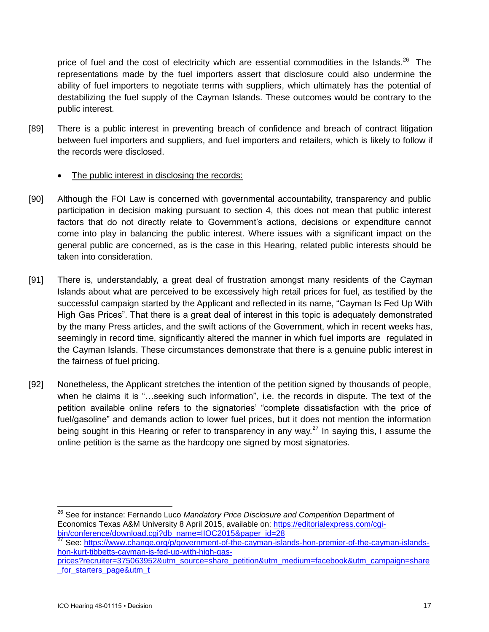price of fuel and the cost of electricity which are essential commodities in the Islands.<sup>26</sup> The representations made by the fuel importers assert that disclosure could also undermine the ability of fuel importers to negotiate terms with suppliers, which ultimately has the potential of destabilizing the fuel supply of the Cayman Islands. These outcomes would be contrary to the public interest.

- [89] There is a public interest in preventing breach of confidence and breach of contract litigation between fuel importers and suppliers, and fuel importers and retailers, which is likely to follow if the records were disclosed.
	- The public interest in disclosing the records:
- [90] Although the FOI Law is concerned with governmental accountability, transparency and public participation in decision making pursuant to section 4, this does not mean that public interest factors that do not directly relate to Government's actions, decisions or expenditure cannot come into play in balancing the public interest. Where issues with a significant impact on the general public are concerned, as is the case in this Hearing, related public interests should be taken into consideration.
- [91] There is, understandably, a great deal of frustration amongst many residents of the Cayman Islands about what are perceived to be excessively high retail prices for fuel, as testified by the successful campaign started by the Applicant and reflected in its name, "Cayman Is Fed Up With High Gas Prices". That there is a great deal of interest in this topic is adequately demonstrated by the many Press articles, and the swift actions of the Government, which in recent weeks has, seemingly in record time, significantly altered the manner in which fuel imports are regulated in the Cayman Islands. These circumstances demonstrate that there is a genuine public interest in the fairness of fuel pricing.
- [92] Nonetheless, the Applicant stretches the intention of the petition signed by thousands of people, when he claims it is "...seeking such information", i.e. the records in dispute. The text of the petition available online refers to the signatories' "complete dissatisfaction with the price of fuel/gasoline" and demands action to lower fuel prices, but it does not mention the information being sought in this Hearing or refer to transparency in any way.<sup>27</sup> In saying this, I assume the online petition is the same as the hardcopy one signed by most signatories.

 $\overline{a}$ <sup>26</sup> See for instance: Fernando Luco *Mandatory Price Disclosure and Competition* Department of Economics Texas A&M University 8 April 2015, available on: [https://editorialexpress.com/cgi](https://editorialexpress.com/cgi-bin/conference/download.cgi?db_name=IIOC2015&paper_id=28)[bin/conference/download.cgi?db\\_name=IIOC2015&paper\\_id=28](https://editorialexpress.com/cgi-bin/conference/download.cgi?db_name=IIOC2015&paper_id=28)

<sup>&</sup>lt;sup>27</sup> See: [https://www.change.org/p/government-of-the-cayman-islands-hon-premier-of-the-cayman-islands](https://www.change.org/p/government-of-the-cayman-islands-hon-premier-of-the-cayman-islands-hon-kurt-tibbetts-cayman-is-fed-up-with-high-gas-prices?recruiter=375063952&utm_source=share_petition&utm_medium=facebook&utm_campaign=share_for_starters_page&utm_t)[hon-kurt-tibbetts-cayman-is-fed-up-with-high-gas-](https://www.change.org/p/government-of-the-cayman-islands-hon-premier-of-the-cayman-islands-hon-kurt-tibbetts-cayman-is-fed-up-with-high-gas-prices?recruiter=375063952&utm_source=share_petition&utm_medium=facebook&utm_campaign=share_for_starters_page&utm_t)

[prices?recruiter=375063952&utm\\_source=share\\_petition&utm\\_medium=facebook&utm\\_campaign=share](https://www.change.org/p/government-of-the-cayman-islands-hon-premier-of-the-cayman-islands-hon-kurt-tibbetts-cayman-is-fed-up-with-high-gas-prices?recruiter=375063952&utm_source=share_petition&utm_medium=facebook&utm_campaign=share_for_starters_page&utm_t) for starters page&utm\_t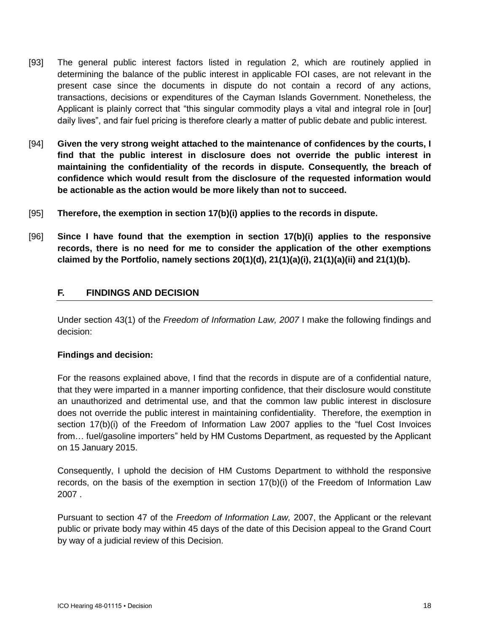- [93] The general public interest factors listed in regulation 2, which are routinely applied in determining the balance of the public interest in applicable FOI cases, are not relevant in the present case since the documents in dispute do not contain a record of any actions, transactions, decisions or expenditures of the Cayman Islands Government. Nonetheless, the Applicant is plainly correct that "this singular commodity plays a vital and integral role in [our] daily lives", and fair fuel pricing is therefore clearly a matter of public debate and public interest.
- [94] **Given the very strong weight attached to the maintenance of confidences by the courts, I find that the public interest in disclosure does not override the public interest in maintaining the confidentiality of the records in dispute. Consequently, the breach of confidence which would result from the disclosure of the requested information would be actionable as the action would be more likely than not to succeed.**
- [95] **Therefore, the exemption in section 17(b)(i) applies to the records in dispute.**
- [96] **Since I have found that the exemption in section 17(b)(i) applies to the responsive records, there is no need for me to consider the application of the other exemptions claimed by the Portfolio, namely sections 20(1)(d), 21(1)(a)(i), 21(1)(a)(ii) and 21(1)(b).**

## **F. FINDINGS AND DECISION**

Under section 43(1) of the *Freedom of Information Law, 2007* I make the following findings and decision:

## **Findings and decision:**

For the reasons explained above, I find that the records in dispute are of a confidential nature, that they were imparted in a manner importing confidence, that their disclosure would constitute an unauthorized and detrimental use, and that the common law public interest in disclosure does not override the public interest in maintaining confidentiality. Therefore, the exemption in section 17(b)(i) of the Freedom of Information Law 2007 applies to the "fuel Cost Invoices from… fuel/gasoline importers" held by HM Customs Department, as requested by the Applicant on 15 January 2015.

Consequently, I uphold the decision of HM Customs Department to withhold the responsive records, on the basis of the exemption in section 17(b)(i) of the Freedom of Information Law 2007 .

Pursuant to section 47 of the *Freedom of Information Law,* 2007, the Applicant or the relevant public or private body may within 45 days of the date of this Decision appeal to the Grand Court by way of a judicial review of this Decision.